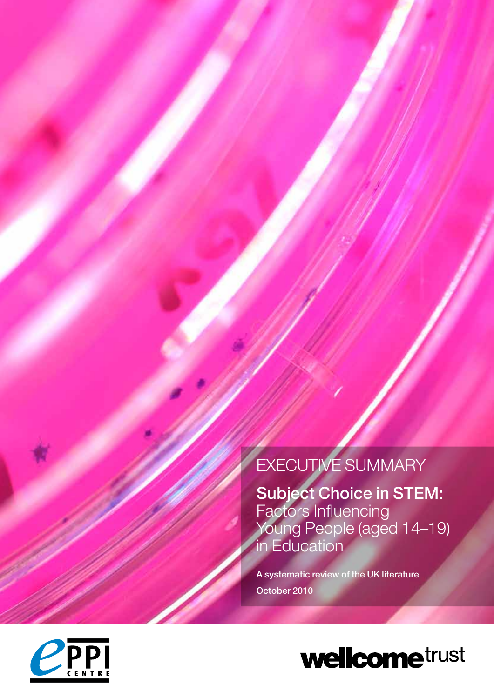# EXECUTIVE SUMMARY

Subject Choice in STEM: Factors Influencing Young People (aged 14–19) in Education

A systematic review of the UK literature October 2010



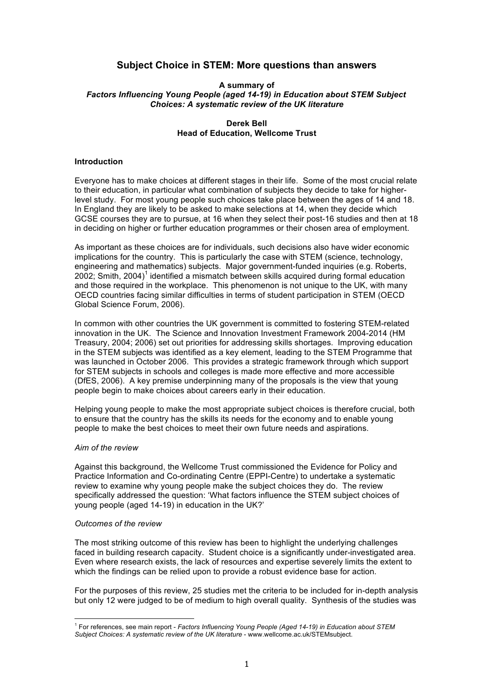## **Subject Choice in STEM: More questions than answers**

#### **A summary of** *Factors Influencing Young People (aged 14-19) in Education about STEM Subject Choices: A systematic review of the UK literature*

## **Derek Bell Head of Education, Wellcome Trust**

### **Introduction**

Everyone has to make choices at different stages in their life. Some of the most crucial relate to their education, in particular what combination of subjects they decide to take for higherlevel study. For most young people such choices take place between the ages of 14 and 18. In England they are likely to be asked to make selections at 14, when they decide which GCSE courses they are to pursue, at 16 when they select their post-16 studies and then at 18 in deciding on higher or further education programmes or their chosen area of employment.

As important as these choices are for individuals, such decisions also have wider economic implications for the country. This is particularly the case with STEM (science, technology, engineering and mathematics) subjects. Major government-funded inquiries (e.g. Roberts, 2002; Smith, 2004)<sup>1</sup> identified a mismatch between skills acquired during formal education and those required in the workplace. This phenomenon is not unique to the UK, with many OECD countries facing similar difficulties in terms of student participation in STEM (OECD Global Science Forum, 2006).

In common with other countries the UK government is committed to fostering STEM-related innovation in the UK. The Science and Innovation Investment Framework 2004-2014 (HM Treasury, 2004; 2006) set out priorities for addressing skills shortages. Improving education in the STEM subjects was identified as a key element, leading to the STEM Programme that was launched in October 2006. This provides a strategic framework through which support for STEM subjects in schools and colleges is made more effective and more accessible (DfES, 2006). A key premise underpinning many of the proposals is the view that young people begin to make choices about careers early in their education.

Helping young people to make the most appropriate subject choices is therefore crucial, both to ensure that the country has the skills its needs for the economy and to enable young people to make the best choices to meet their own future needs and aspirations.

#### *Aim of the review*

Against this background, the Wellcome Trust commissioned the Evidence for Policy and Practice Information and Co-ordinating Centre (EPPI-Centre) to undertake a systematic review to examine why young people make the subject choices they do. The review specifically addressed the question: 'What factors influence the STEM subject choices of young people (aged 14-19) in education in the UK?'

#### *Outcomes of the review*

-

The most striking outcome of this review has been to highlight the underlying challenges faced in building research capacity. Student choice is a significantly under-investigated area. Even where research exists, the lack of resources and expertise severely limits the extent to which the findings can be relied upon to provide a robust evidence base for action.

For the purposes of this review, 25 studies met the criteria to be included for in-depth analysis but only 12 were judged to be of medium to high overall quality. Synthesis of the studies was

<sup>1</sup> For references, see main report - *Factors Influencing Young People (Aged 14-19) in Education about STEM Subject Choices: A systematic review of the UK literature* - www.wellcome.ac.uk/STEMsubject.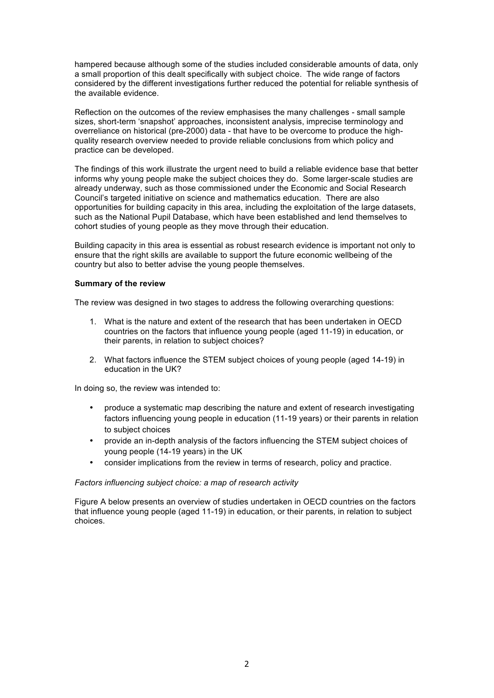hampered because although some of the studies included considerable amounts of data, only a small proportion of this dealt specifically with subject choice. The wide range of factors considered by the different investigations further reduced the potential for reliable synthesis of the available evidence.

Reflection on the outcomes of the review emphasises the many challenges - small sample sizes, short-term 'snapshot' approaches, inconsistent analysis, imprecise terminology and overreliance on historical (pre-2000) data - that have to be overcome to produce the highquality research overview needed to provide reliable conclusions from which policy and practice can be developed.

The findings of this work illustrate the urgent need to build a reliable evidence base that better informs why young people make the subject choices they do. Some larger-scale studies are already underway, such as those commissioned under the Economic and Social Research Council's targeted initiative on science and mathematics education. There are also opportunities for building capacity in this area, including the exploitation of the large datasets, such as the National Pupil Database, which have been established and lend themselves to cohort studies of young people as they move through their education.

Building capacity in this area is essential as robust research evidence is important not only to ensure that the right skills are available to support the future economic wellbeing of the country but also to better advise the young people themselves.

## **Summary of the review**

The review was designed in two stages to address the following overarching questions:

- 1. What is the nature and extent of the research that has been undertaken in OECD countries on the factors that influence young people (aged 11-19) in education, or their parents, in relation to subject choices?
- 2. What factors influence the STEM subject choices of young people (aged 14-19) in education in the UK?

In doing so, the review was intended to:

- produce a systematic map describing the nature and extent of research investigating factors influencing young people in education (11-19 years) or their parents in relation to subject choices
- provide an in-depth analysis of the factors influencing the STEM subject choices of young people (14-19 years) in the UK
- consider implications from the review in terms of research, policy and practice.

## *Factors influencing subject choice: a map of research activity*

Figure A below presents an overview of studies undertaken in OECD countries on the factors that influence young people (aged 11-19) in education, or their parents, in relation to subject choices.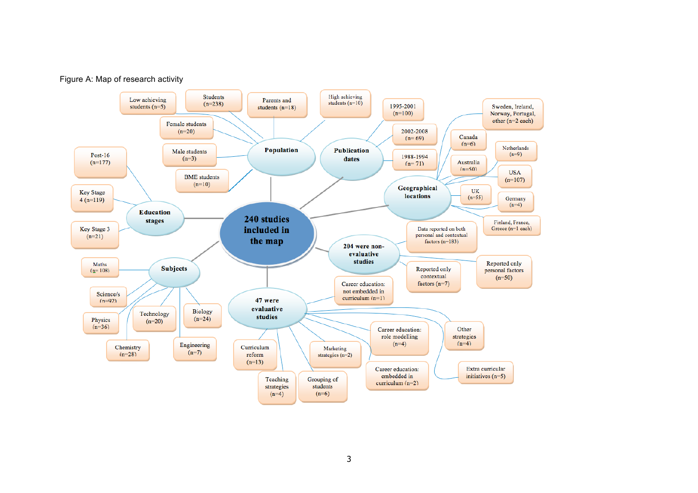

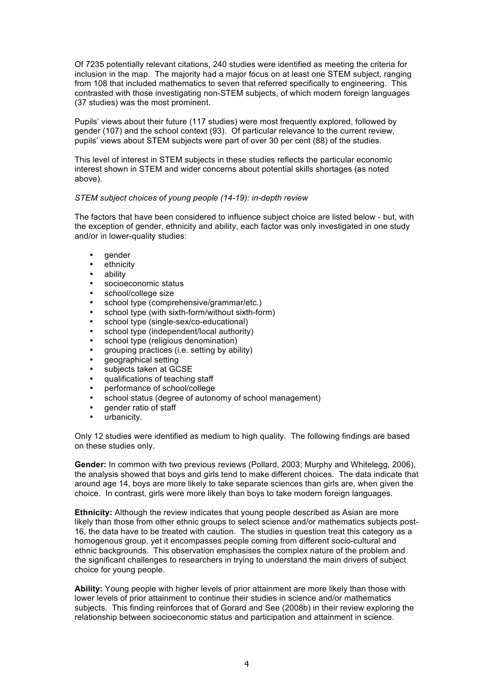Of 7235 potentially relevant citations, 240 studies were identified as meeting the criteria for inclusion in the map. The majority had a major focus on at least one STEM subject, ranging from 108 that included mathematics to seven that referred specifically to engineering. This contrasted with those investigating non-STEM subjects, of which modern foreign languages (37 studies) was the most prominent.

Pupils' views about their future (117 studies) were most frequently explored, followed by gender (107) and the school context (93). Of particular relevance to the current review, pupils' views about STEM subjects were part of over 30 per cent (88) of the studies.

This level of interest in STEM subjects in these studies reflects the particular economic interest shown in STEM and wider concerns about potential skills shortages (as noted above).

## *STEM subject choices of young people (14-19): in-depth review*

The factors that have been considered to influence subject choice are listed below - but, with the exception of gender, ethnicity and ability, each factor was only investigated in one study and/or in lower-quality studies:

- gender
- ethnicity
- ability
- socioeconomic status
- school/college size
- school type (comprehensive/grammar/etc.)
- school type (with sixth-form/without sixth-form)
- school type (single-sex/co-educational)
- school type (independent/local authority)
- school type (religious denomination)
- grouping practices (i.e. setting by ability)
- geographical setting
- subjects taken at GCSE
- qualifications of teaching staff
- performance of school/college
- school status (degree of autonomy of school management)
- gender ratio of staff
- urbanicity.

Only 12 studies were identified as medium to high quality. The following findings are based on these studies only.

**Gender:** In common with two previous reviews (Pollard, 2003; Murphy and Whitelegg, 2006), the analysis showed that boys and girls tend to make different choices. The data indicate that around age 14, boys are more likely to take separate sciences than girls are, when given the choice. In contrast, girls were more likely than boys to take modern foreign languages.

**Ethnicity:** Although the review indicates that young people described as Asian are more likely than those from other ethnic groups to select science and/or mathematics subjects post-16, the data have to be treated with caution. The studies in question treat this category as a homogenous group, yet it encompasses people coming from different socio-cultural and ethnic backgrounds. This observation emphasises the complex nature of the problem and the significant challenges to researchers in trying to understand the main drivers of subject choice for young people.

**Ability:** Young people with higher levels of prior attainment are more likely than those with lower levels of prior attainment to continue their studies in science and/or mathematics subjects. This finding reinforces that of Gorard and See (2008b) in their review exploring the relationship between socioeconomic status and participation and attainment in science.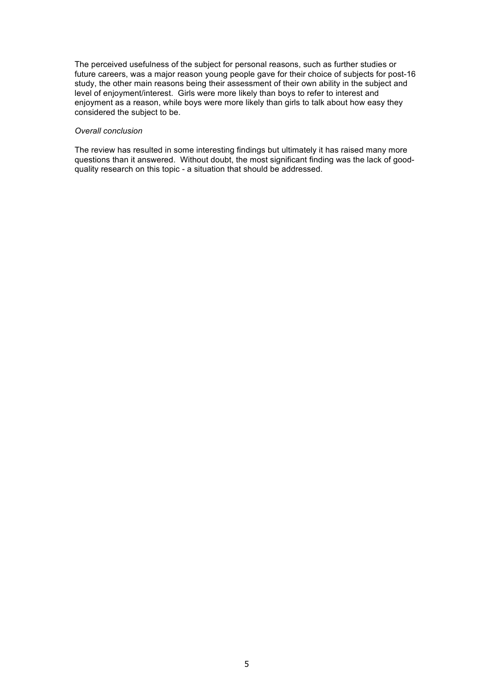The perceived usefulness of the subject for personal reasons, such as further studies or future careers, was a major reason young people gave for their choice of subjects for post-16 study, the other main reasons being their assessment of their own ability in the subject and level of enjoyment/interest. Girls were more likely than boys to refer to interest and enjoyment as a reason, while boys were more likely than girls to talk about how easy they considered the subject to be.

#### *Overall conclusion*

The review has resulted in some interesting findings but ultimately it has raised many more questions than it answered. Without doubt, the most significant finding was the lack of goodquality research on this topic - a situation that should be addressed.